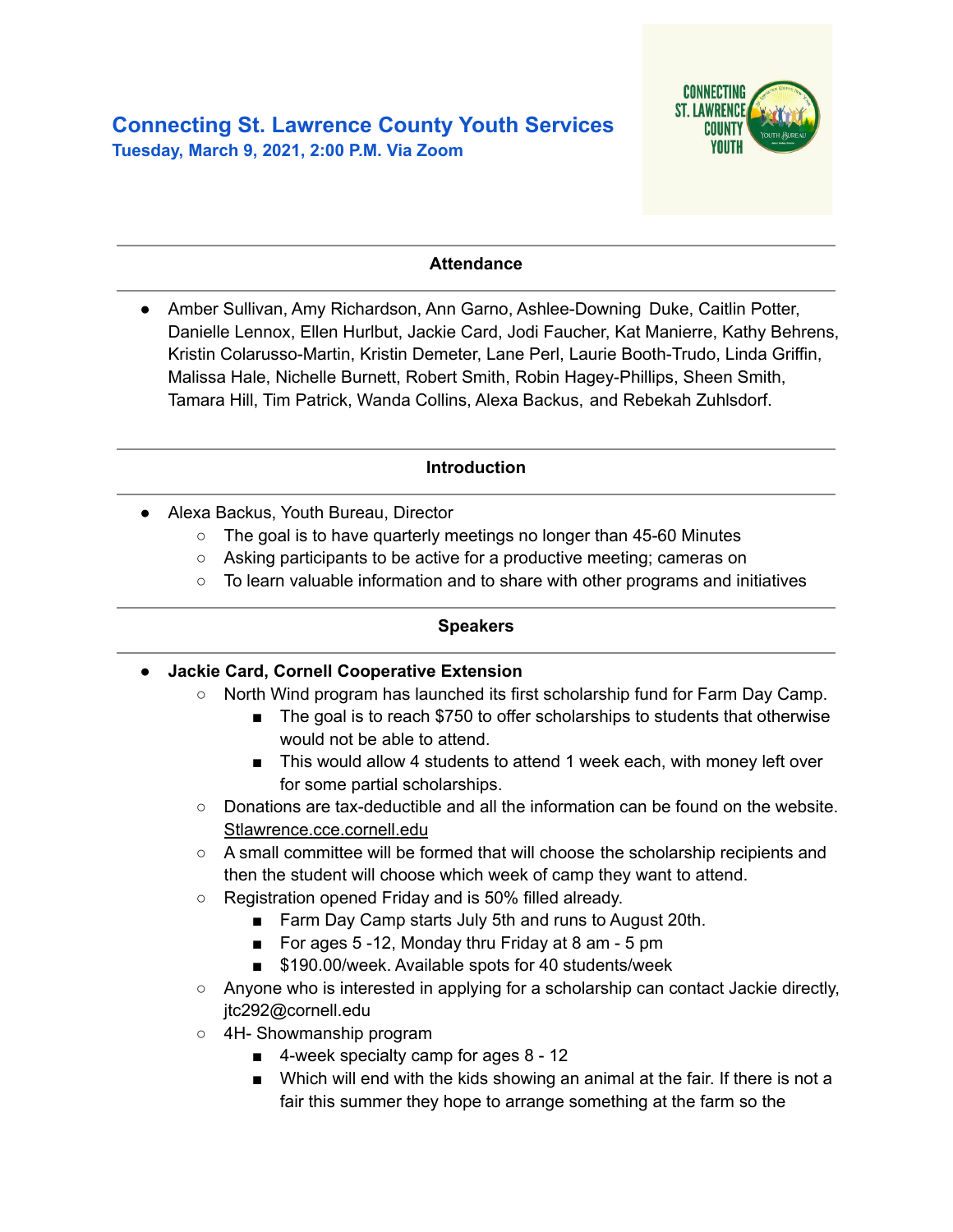

### **Attendance**

● Amber Sullivan, Amy Richardson, Ann Garno, Ashlee-Downing Duke, Caitlin Potter, Danielle Lennox, Ellen Hurlbut, Jackie Card, Jodi Faucher, Kat Manierre, Kathy Behrens, Kristin Colarusso-Martin, Kristin Demeter, Lane Perl, Laurie Booth-Trudo, Linda Griffin, Malissa Hale, Nichelle Burnett, Robert Smith, Robin Hagey-Phillips, Sheen Smith, Tamara Hill, Tim Patrick, Wanda Collins, Alexa Backus, and Rebekah Zuhlsdorf.

### **Introduction**

- Alexa Backus, Youth Bureau, Director
	- The goal is to have quarterly meetings no longer than 45-60 Minutes
	- Asking participants to be active for a productive meeting; cameras on
	- To learn valuable information and to share with other programs and initiatives

#### **Speakers**

- **● Jackie Card, Cornell Cooperative Extension**
	- $\circ$  North Wind program has launched its first scholarship fund for Farm Day Camp.
		- The goal is to reach \$750 to offer scholarships to students that otherwise would not be able to attend.
		- This would allow 4 students to attend 1 week each, with money left over for some partial scholarships.
	- Donations are tax-deductible and all the information can be found on the website. Stlawrence.cce.cornell.edu
	- A small committee will be formed that will choose the scholarship recipients and then the student will choose which week of camp they want to attend.
	- Registration opened Friday and is 50% filled already.
		- Farm Day Camp starts July 5th and runs to August 20th.
		- For ages 5 -12, Monday thru Friday at 8 am 5 pm
		- \$190.00/week. Available spots for 40 students/week
	- $\circ$  Anyone who is interested in applying for a scholarship can contact Jackie directly, jtc292@cornell.edu
	- 4H- Showmanship program
		- 4-week specialty camp for ages 8 12
		- Which will end with the kids showing an animal at the fair. If there is not a fair this summer they hope to arrange something at the farm so the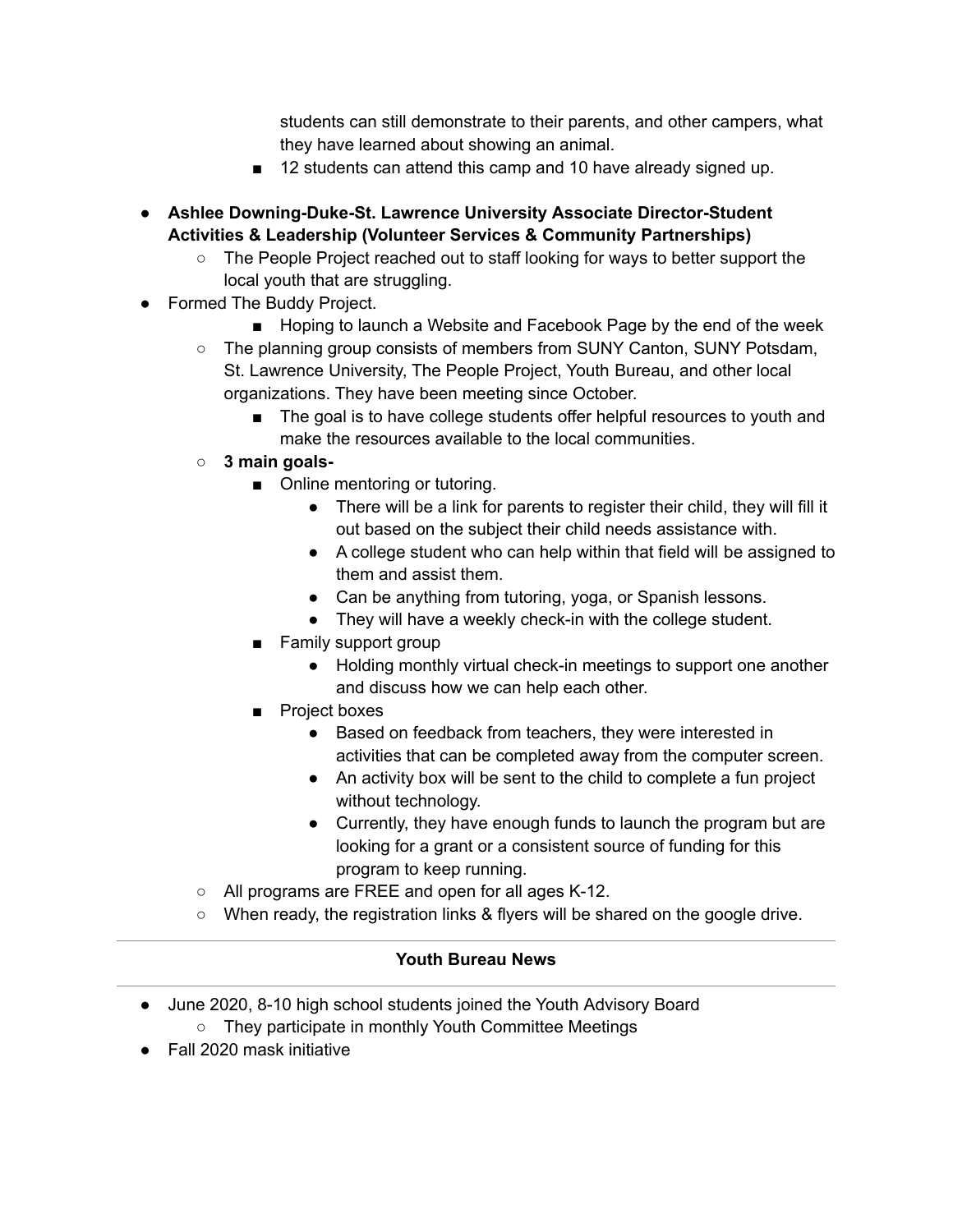students can still demonstrate to their parents, and other campers, what they have learned about showing an animal.

- 12 students can attend this camp and 10 have already signed up.
- **● Ashlee Downing-Duke-St. Lawrence University Associate Director-Student Activities & Leadership (Volunteer Services & Community Partnerships)**
	- The People Project reached out to staff looking for ways to better support the local youth that are struggling.
- Formed The Buddy Project.
	- Hoping to launch a Website and Facebook Page by the end of the week
	- The planning group consists of members from SUNY Canton, SUNY Potsdam, St. Lawrence University, The People Project, Youth Bureau, and other local organizations. They have been meeting since October.
		- The goal is to have college students offer helpful resources to youth and make the resources available to the local communities.
	- **○ 3 main goals-**
		- Online mentoring or tutoring.
			- There will be a link for parents to register their child, they will fill it out based on the subject their child needs assistance with.
			- A college student who can help within that field will be assigned to them and assist them.
			- Can be anything from tutoring, yoga, or Spanish lessons.
			- They will have a weekly check-in with the college student.
		- Family support group
			- Holding monthly virtual check-in meetings to support one another and discuss how we can help each other.
		- Project boxes
			- Based on feedback from teachers, they were interested in activities that can be completed away from the computer screen.
			- An activity box will be sent to the child to complete a fun project without technology.
			- Currently, they have enough funds to launch the program but are looking for a grant or a consistent source of funding for this program to keep running.
	- All programs are FREE and open for all ages K-12.
	- When ready, the registration links & flyers will be shared on the google drive.

## **Youth Bureau News**

- June 2020, 8-10 high school students joined the Youth Advisory Board
	- They participate in monthly Youth Committee Meetings
- Fall 2020 mask initiative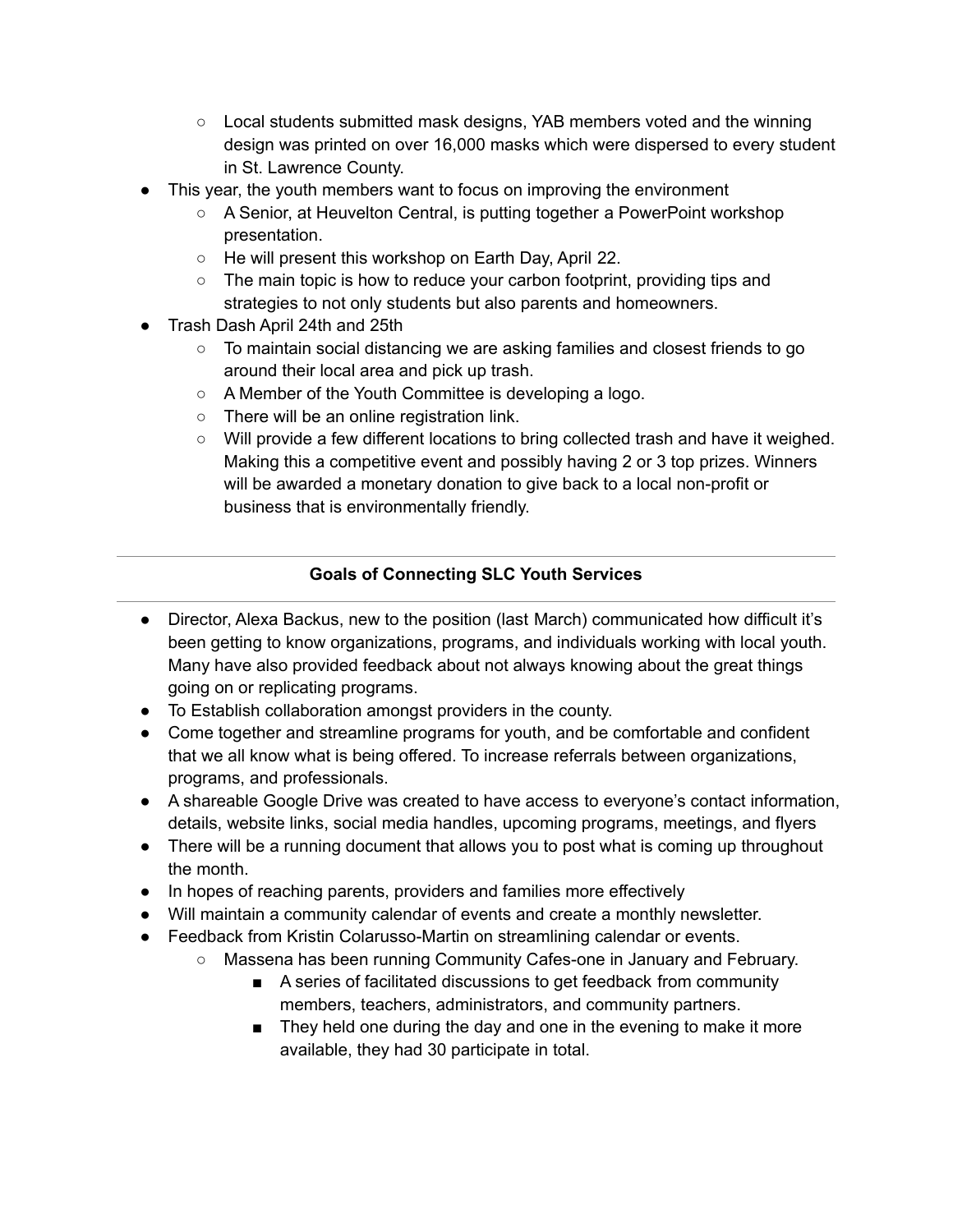- Local students submitted mask designs, YAB members voted and the winning design was printed on over 16,000 masks which were dispersed to every student in St. Lawrence County.
- This year, the youth members want to focus on improving the environment
	- A Senior, at Heuvelton Central, is putting together a PowerPoint workshop presentation.
	- He will present this workshop on Earth Day, April 22.
	- The main topic is how to reduce your carbon footprint, providing tips and strategies to not only students but also parents and homeowners.
- Trash Dash April 24th and 25th
	- To maintain social distancing we are asking families and closest friends to go around their local area and pick up trash.
	- A Member of the Youth Committee is developing a logo.
	- There will be an online registration link.
	- Will provide a few different locations to bring collected trash and have it weighed. Making this a competitive event and possibly having 2 or 3 top prizes. Winners will be awarded a monetary donation to give back to a local non-profit or business that is environmentally friendly.

# **Goals of Connecting SLC Youth Services**

- Director, Alexa Backus, new to the position (last March) communicated how difficult it's been getting to know organizations, programs, and individuals working with local youth. Many have also provided feedback about not always knowing about the great things going on or replicating programs.
- To Establish collaboration amongst providers in the county.
- Come together and streamline programs for youth, and be comfortable and confident that we all know what is being offered. To increase referrals between organizations, programs, and professionals.
- A shareable Google Drive was created to have access to everyone's contact information, details, website links, social media handles, upcoming programs, meetings, and flyers
- There will be a running document that allows you to post what is coming up throughout the month.
- In hopes of reaching parents, providers and families more effectively
- Will maintain a community calendar of events and create a monthly newsletter.
- Feedback from Kristin Colarusso-Martin on streamlining calendar or events.
	- Massena has been running Community Cafes-one in January and February.
		- A series of facilitated discussions to get feedback from community members, teachers, administrators, and community partners.
		- They held one during the day and one in the evening to make it more available, they had 30 participate in total.